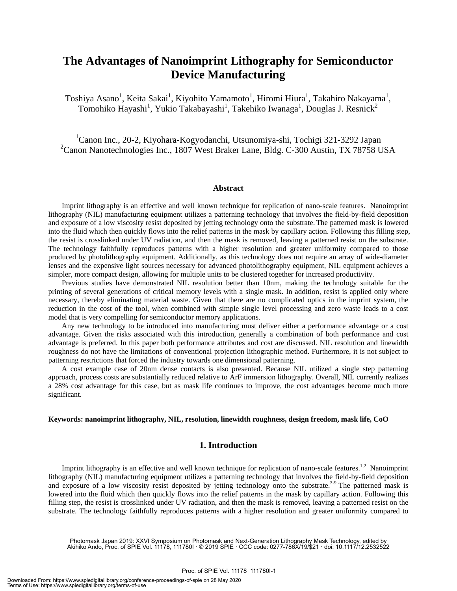# **The Advantages of Nanoimprint Lithography for Semiconductor Device Manufacturing**

Toshiya Asano<sup>1</sup>, Keita Sakai<sup>1</sup>, Kiyohito Yamamoto<sup>1</sup>, Hiromi Hiura<sup>1</sup>, Takahiro Nakayama<sup>1</sup>, Tomohiko Hayashi<sup>1</sup>, Yukio Takabayashi<sup>1</sup>, Takehiko Iwanaga<sup>1</sup>, Douglas J. Resnick<sup>2</sup>

<sup>1</sup>Canon Inc., 20-2, Kiyohara-Kogyodanchi, Utsunomiya-shi, Tochigi 321-3292 Japan <sup>2</sup>Canon Nanotechnologies Inc., 1807 West Braker Lane, Bldg. C-300 Austin, TX 78758 USA

#### **Abstract**

Imprint lithography is an effective and well known technique for replication of nano-scale features. Nanoimprint lithography (NIL) manufacturing equipment utilizes a patterning technology that involves the field-by-field deposition and exposure of a low viscosity resist deposited by jetting technology onto the substrate. The patterned mask is lowered into the fluid which then quickly flows into the relief patterns in the mask by capillary action. Following this filling step, the resist is crosslinked under UV radiation, and then the mask is removed, leaving a patterned resist on the substrate. The technology faithfully reproduces patterns with a higher resolution and greater uniformity compared to those produced by photolithography equipment. Additionally, as this technology does not require an array of wide-diameter lenses and the expensive light sources necessary for advanced photolithography equipment, NIL equipment achieves a simpler, more compact design, allowing for multiple units to be clustered together for increased productivity.

Previous studies have demonstrated NIL resolution better than 10nm, making the technology suitable for the printing of several generations of critical memory levels with a single mask. In addition, resist is applied only where necessary, thereby eliminating material waste. Given that there are no complicated optics in the imprint system, the reduction in the cost of the tool, when combined with simple single level processing and zero waste leads to a cost model that is very compelling for semiconductor memory applications.

 Any new technology to be introduced into manufacturing must deliver either a performance advantage or a cost advantage. Given the risks associated with this introduction, generally a combination of both performance and cost advantage is preferred. In this paper both performance attributes and cost are discussed. NIL resolution and linewidth roughness do not have the limitations of conventional projection lithographic method. Furthermore, it is not subject to patterning restrictions that forced the industry towards one dimensional patterning.

 A cost example case of 20nm dense contacts is also presented. Because NIL utilized a single step patterning approach, process costs are substantially reduced relative to ArF immersion lithography. Overall, NIL currently realizes a 28% cost advantage for this case, but as mask life continues to improve, the cost advantages become much more significant.

#### **Keywords: nanoimprint lithography, NIL, resolution, linewidth roughness, design freedom, mask life, CoO**

# **1. Introduction**

Imprint lithography is an effective and well known technique for replication of nano-scale features.<sup>1,2</sup> Nanoimprint lithography (NIL) manufacturing equipment utilizes a patterning technology that involves the field-by-field deposition and exposure of a low viscosity resist deposited by jetting technology onto the substrate.<sup>3-9</sup> The patterned mask is lowered into the fluid which then quickly flows into the relief patterns in the mask by capillary action. Following this filling step, the resist is crosslinked under UV radiation, and then the mask is removed, leaving a patterned resist on the substrate. The technology faithfully reproduces patterns with a higher resolution and greater uniformity compared to

Photomask Japan 2019: XXVI Symposium on Photomask and Next-Generation Lithography Mask Technology, edited by Akihiko Ando, Proc. of SPIE Vol. 11178, 111780I · © 2019 SPIE · CCC code: 0277-786X/19/\$21 · doi: 10.1117/12.2532522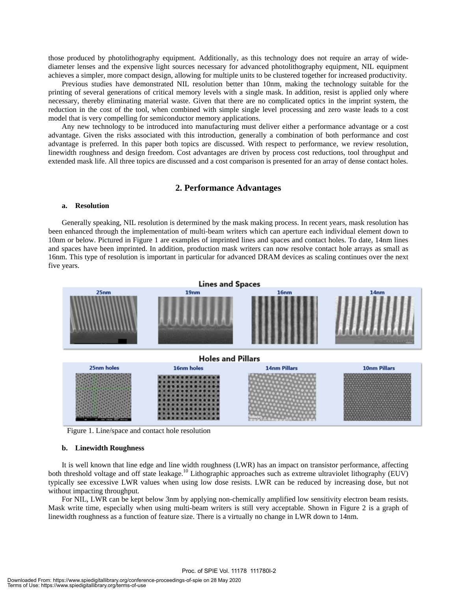those produced by photolithography equipment. Additionally, as this technology does not require an array of widediameter lenses and the expensive light sources necessary for advanced photolithography equipment, NIL equipment achieves a simpler, more compact design, allowing for multiple units to be clustered together for increased productivity.

Previous studies have demonstrated NIL resolution better than 10nm, making the technology suitable for the printing of several generations of critical memory levels with a single mask. In addition, resist is applied only where necessary, thereby eliminating material waste. Given that there are no complicated optics in the imprint system, the reduction in the cost of the tool, when combined with simple single level processing and zero waste leads to a cost model that is very compelling for semiconductor memory applications.

Any new technology to be introduced into manufacturing must deliver either a performance advantage or a cost advantage. Given the risks associated with this introduction, generally a combination of both performance and cost advantage is preferred. In this paper both topics are discussed. With respect to performance, we review resolution, linewidth roughness and design freedom. Cost advantages are driven by process cost reductions, tool throughput and extended mask life. All three topics are discussed and a cost comparison is presented for an array of dense contact holes.

#### **2. Performance Advantages**

#### **a. Resolution**

Generally speaking, NIL resolution is determined by the mask making process. In recent years, mask resolution has been enhanced through the implementation of multi-beam writers which can aperture each individual element down to 10nm or below. Pictured in Figure 1 are examples of imprinted lines and spaces and contact holes. To date, 14nm lines and spaces have been imprinted. In addition, production mask writers can now resolve contact hole arrays as small as 16nm. This type of resolution is important in particular for advanced DRAM devices as scaling continues over the next five years.



Figure 1. Line/space and contact hole resolution

#### **b. Linewidth Roughness**

It is well known that line edge and line width roughness (LWR) has an impact on transistor performance, affecting both threshold voltage and off state leakage.<sup>10</sup> Lithographic approaches such as extreme ultraviolet lithography (EUV) typically see excessive LWR values when using low dose resists. LWR can be reduced by increasing dose, but not without impacting throughput.

For NIL, LWR can be kept below 3nm by applying non-chemically amplified low sensitivity electron beam resists. Mask write time, especially when using multi-beam writers is still very acceptable. Shown in Figure 2 is a graph of linewidth roughness as a function of feature size. There is a virtually no change in LWR down to 14nm.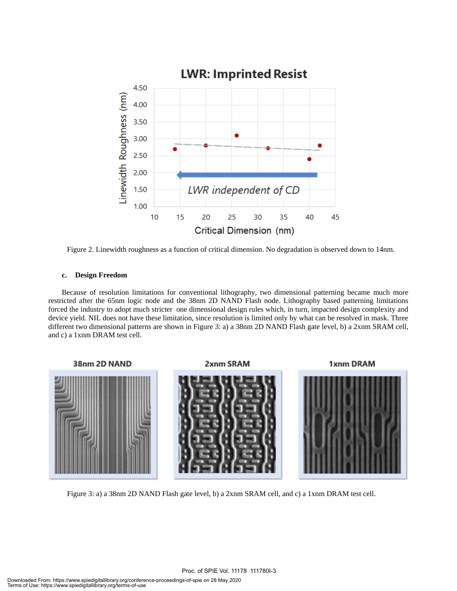

Figure 2. Linewidth roughness as a function of critical dimension. No degradation is observed down to 14nm.

## **c. Design Freedom**

Because of resolution limitations for conventional lithography, two dimensional patterning became much more restricted after the 65nm logic node and the 38nm 2D NAND Flash node. Lithography based patterning limitations forced the industry to adopt much stricter one dimensional design rules which, in turn, impacted design complexity and device yield. NIL does not have these limitation, since resolution is limited only by what can be resolved in mask. Three different two dimensional patterns are shown in Figure 3: a) a 38nm 2D NAND Flash gate level, b) a 2xnm SRAM cell, and c) a 1xnm DRAM test cell.



Figure 3: a) a 38nm 2D NAND Flash gate level, b) a 2xnm SRAM cell, and c) a 1xnm DRAM test cell.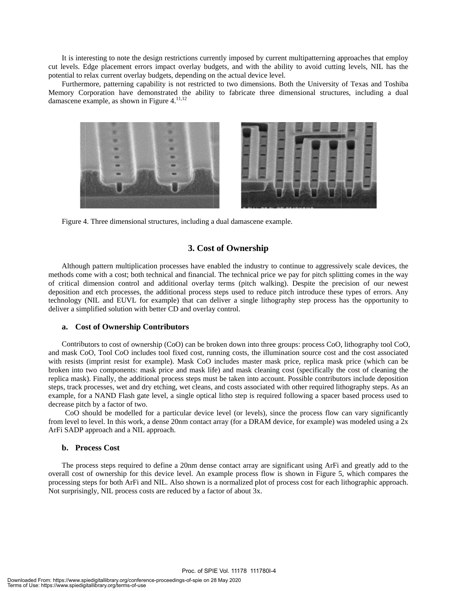It is interesting to note the design restrictions currently imposed by current multipatterning approaches that employ cut levels. Edge placement errors impact overlay budgets, and with the ability to avoid cutting levels, NIL has the potential to relax current overlay budgets, depending on the actual device level.

Furthermore, patterning capability is not restricted to two dimensions. Both the University of Texas and Toshiba Memory Corporation have demonstrated the ability to fabricate three dimensional structures, including a dual damascene example, as shown in Figure  $4$ .<sup>11,12</sup>



Figure 4. Three dimensional structures, including a dual damascene example.

# **3. Cost of Ownership**

Although pattern multiplication processes have enabled the industry to continue to aggressively scale devices, the methods come with a cost; both technical and financial. The technical price we pay for pitch splitting comes in the way of critical dimension control and additional overlay terms (pitch walking). Despite the precision of our newest deposition and etch processes, the additional process steps used to reduce pitch introduce these types of errors. Any technology (NIL and EUVL for example) that can deliver a single lithography step process has the opportunity to deliver a simplified solution with better CD and overlay control.

## a. Cost of Ownership Contributors

Contributors to cost of ownership (CoO) can be broken down into three groups: process CoO, lithography tool CoO, and mask CoO, Tool CoO includes tool fixed cost, running costs, the illumination source cost and the cost associated with resists (imprint resist for example). Mask CoO includes master mask price, replica mask price (which can be broken into two components: mask price and mask life) and mask cleaning cost (specifically the cost of cleaning the replica mask). Finally, the additional process steps must be taken into account. Possible contributors include deposition steps, track processes, wet and dry etching, wet cleans, and costs associated with other required lithography steps. As an example, for a NAND Flash gate level, a single optical litho step is required following a spacer based process used to decrease pitch by a factor of two.

CoO should be modelled for a particular device level (or levels), since the process flow can vary significantly from level to level. In this work, a dense 20nm contact array (for a DRAM device, for example) was modeled using a 2x ArFi SADP approach and a NIL approach.

### **b. Pro ocess Cost**

The process steps required to define a 20nm dense contact array are significant using ArFi and greatly add to the overall cost of ownership for this device level. An example process flow is shown in Figure 5, which compares the processing steps for both ArFi and NIL. Also shown is a normalized plot of process cost for each lithographic approach. Not surprisingly, NIL process costs are reduced by a factor of about 3x.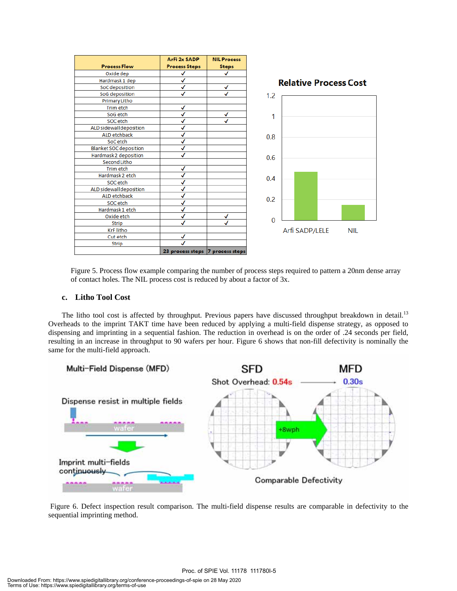|                               | ArFi 2x SADP         | <b>NIL Process</b> |                              |
|-------------------------------|----------------------|--------------------|------------------------------|
| <b>Process Flow</b>           | <b>Process Steps</b> | <b>Steps</b>       |                              |
| Oxide dep                     | √                    | J                  |                              |
| Hardmask 1 dep                | √                    |                    | <b>Relative Process Cost</b> |
| SoC deposition                | √                    | √                  |                              |
| SoG deposition                | ✓                    | J                  | 1.2                          |
| Primary Litho                 |                      |                    |                              |
| Trim etch                     | √                    |                    |                              |
| SoG etch                      | ✓                    | √                  | 1                            |
| SOC etch                      | $\sqrt{2}$           | J                  |                              |
| ALD sidewall deposition       | ✓                    |                    |                              |
| <b>ALD etchback</b>           | √                    |                    | 0.8                          |
| SoC etch                      | √                    |                    |                              |
| <b>Blanket SOC deposition</b> | ✓                    |                    |                              |
| Hardmask 2 deposition         | √                    |                    | 0.6                          |
| Second Litho                  |                      |                    |                              |
| Trim etch                     | √                    |                    |                              |
| Hardmask 2 etch               | √                    |                    | 0.4                          |
| <b>SOC</b> etch               | √                    |                    |                              |
| ALD sidewall deposition       | √                    |                    |                              |
| <b>ALD etchback</b>           | ✓                    |                    | 0.2                          |
| SOC etch                      | √                    |                    |                              |
| Hardmask 1 etch               | ✓                    |                    |                              |
| Oxide etch                    | $\sqrt{2}$           | √                  |                              |
| <b>Strip</b>                  | ✓                    | ✓                  | $\bf{0}$                     |
| <b>KrF litho</b>              |                      |                    | Arfi SADP/LELE<br><b>NIL</b> |
| Cut etch                      | √                    |                    |                              |
| Strip                         |                      |                    |                              |
|                               | 23 process steps     | 7 process steps    |                              |

Figure 5. Process flow example comparing the number of process steps required to pattern a 20nm dense array of contact holes. The NIL process cost is reduced by about a factor of 3x.

## **c. Litho Tool Cost**

The litho tool cost is affected by throughput. Previous papers have discussed throughput breakdown in detail.<sup>13</sup> Overheads to the imprint TAKT time have been reduced by applying a multi-field dispense strategy, as opposed to dispensing and imprinting in a sequential fashion. The reduction in overhead is on the order of .24 seconds per field, resulting in an increase in throughput to 90 wafers per hour. Figure 6 shows that non-fill defectivity is nominally the same for the multi-field approach.



 Figure 6. Defect inspection result comparison. The multi-field dispense results are comparable in defectivity to the sequential imprinting method.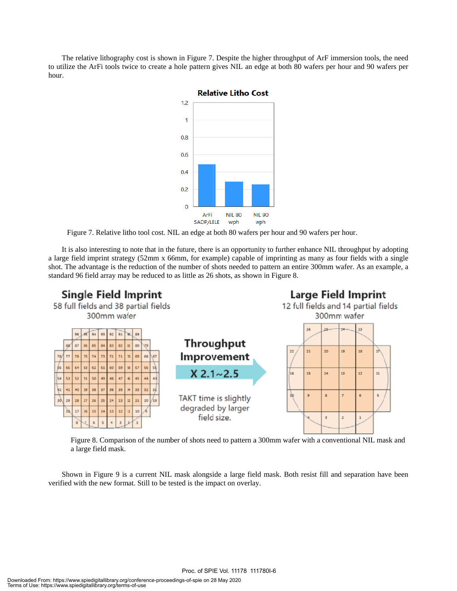The relative lithography cost is shown in Figure 7. Despite the higher throughput of ArF immersion tools, the need to utilize the ArFi tools twice to create a hole pattern gives NIL an edge at both 80 wafers per hour and 90 wafers per hour.



Figure 7. Relative litho tool cost. NIL an edge at both 80 wafers per hour and 90 wafers per hour.

It is also interesting to note that in the future, there is an opportunity to further enhance NIL throughput by adopting a large field imprint strategy (52mm x 66mm, for example) capable of imprinting as many as four fields with a single shot. The advantage is the reduction of the number of shots needed to pattern an entire 300mm wafer. As an example, a standard 96 field array may be reduced to as little as 26 shots, as shown in Figure 8.



Figure 8. Comparison of the number of shots need to pattern a 300mm wafer with a conventional NIL mask and a larg ge field mask.

Shown in Figure 9 is a current NIL mask alongside a large field mask. Both resist fill and separation have been verified with the new format. Still to be tested is the impact on overlay.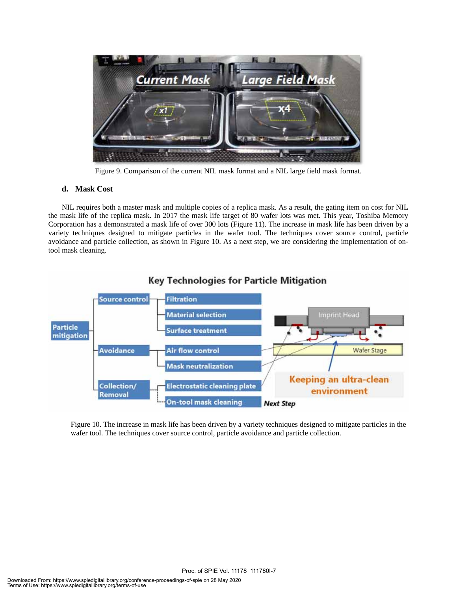

Figure 9. Comparison of the current NIL mask format and a NIL large field mask format.

# **d. Mask Cost**

 NIL requires both a master mask and multiple copies of a replica mask. As a result, the gating item on cost for NIL the mask life of the replica mask. In 2017 the mask life target of 80 wafer lots was met. This year, Toshiba Memory Corporation has a demonstrated a mask life of over 300 lots (Figure 11). The increase in mask life has been driven by a variety techniques designed to mitigate particles in the wafer tool. The techniques cover source control, particle avoidance and particle collection, as shown in Figure 10. As a next step, we are considering the implementation of ontool mask cleaning.



Figure 10. The increase in mask life has been driven by a variety techniques designed to mitigate particles in the wafer tool. The techniques cover source control, particle avoidance and particle collection.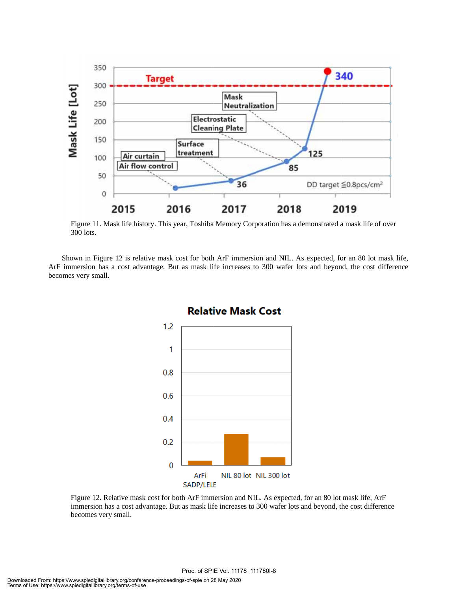

Figure 11. Mask life history. This year, Toshiba Memory Corporation has a demonstrated a mask life of over 300 l lots.

Shown in Figure 12 is relative mask cost for both ArF immersion and NIL. As expected, for an 80 lot mask life, ArF immersion has a cost advantage. But as mask life increases to 300 wafer lots and beyond, the cost difference becomes very small.



Figure 12. Relative mask cost for both ArF immersion and NIL. As expected, for an 80 lot mask life, ArF Figure 12. Relative mask cost for both ArF immersion and NIL. As expected, for an 80 lot mask life, ArF immersion has a cost advantage. But as mask life increases to 300 wafer lots and beyond, the cost difference becomes very small.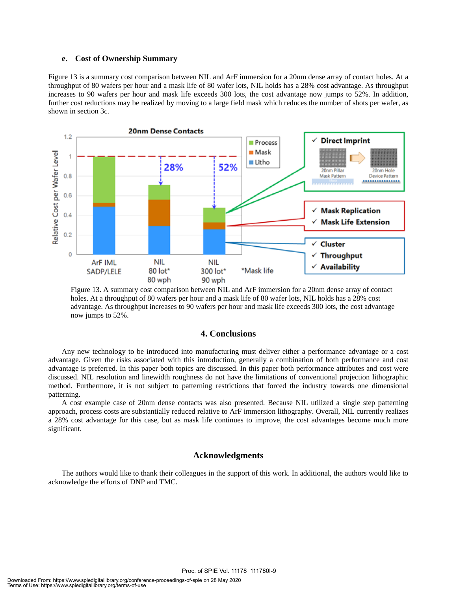#### **e. Cost of Ownership Summary**

Figure 13 is a summary cost comparison between NIL and ArF immersion for a 20nm dense array of contact holes. At a throughput of 80 wafers per hour and a mask life of 80 wafer lots, NIL holds has a 28% cost advantage. As throughput increases to 90 wafers per hour and mask life exceeds 300 lots, the cost advantage now jumps to 52%. In addition, further cost reductions may be realized by moving to a large field mask which reduces the number of shots per wafer, as shown in section 3c.



Figure 13. A summary cost comparison between NIL and ArF immersion for a 20nm dense array of contact holes. At a throughput of 80 wafers per hour and a mask life of 80 wafer lots, NIL holds has a 28% cost advantage. As throughput increases to 90 wafers per hour and mask life exceeds 300 lots, the cost advantage now jumps to 52%.

## **4. Conclusions**

 Any new technology to be introduced into manufacturing must deliver either a performance advantage or a cost advantage. Given the risks associated with this introduction, generally a combination of both performance and cost advantage is preferred. In this paper both topics are discussed. In this paper both performance attributes and cost were discussed. NIL resolution and linewidth roughness do not have the limitations of conventional projection lithographic method. Furthermore, it is not subject to patterning restrictions that forced the industry towards one dimensional patterning.

 A cost example case of 20nm dense contacts was also presented. Because NIL utilized a single step patterning approach, process costs are substantially reduced relative to ArF immersion lithography. Overall, NIL currently realizes a 28% cost advantage for this case, but as mask life continues to improve, the cost advantages become much more significant.

## **Acknowledgments**

The authors would like to thank their colleagues in the support of this work. In additional, the authors would like to acknowledge the efforts of DNP and TMC.